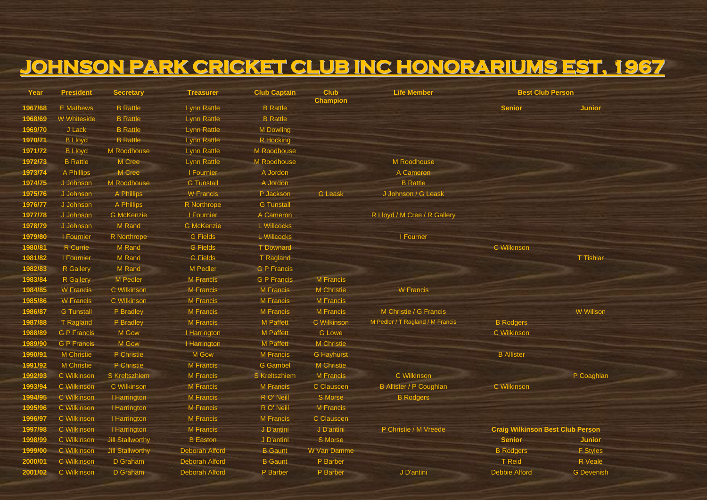## **JOHNSON PARK CRICKET CLUB INC HONORARIUMS EST, 1967**

| Year    | <b>President</b>   | <b>Secretary</b>        | <b>Treasurer</b>      | <b>Club Captain</b> | <b>Club</b><br><b>Champion</b> | <b>Life Member</b>               | <b>Best Club Person</b>                 |                   |
|---------|--------------------|-------------------------|-----------------------|---------------------|--------------------------------|----------------------------------|-----------------------------------------|-------------------|
| 1967/68 | <b>E</b> Mathews   | <b>B</b> Rattle         | <b>Lynn Rattle</b>    | <b>B</b> Rattle     |                                |                                  | <b>Senior</b>                           | <b>Junior</b>     |
| 1968/69 | W Whiteside        | <b>B</b> Rattle         | <b>Lynn Rattle</b>    | <b>B</b> Rattle     |                                |                                  |                                         |                   |
| 1969/70 | J Lack             | <b>B</b> Rattle         | <b>Lynn Rattle</b>    | M Dowling           |                                |                                  |                                         |                   |
| 1970/71 | <b>B</b> Lloyd     | <b>B</b> Rattle         | <b>Lynn Rattle</b>    | R Hocking           |                                |                                  |                                         |                   |
| 1971/72 | <b>B Lloyd</b>     | M Roodhouse             | <b>Lynn Rattle</b>    | M Roodhouse         |                                |                                  |                                         |                   |
| 1972/73 | <b>B</b> Rattle    | M Cree                  | <b>Lynn Rattle</b>    | M Roodhouse         |                                | M Roodhouse                      |                                         |                   |
| 1973/74 | A Phillips         | M Cree                  | I Fournier            | A Jordon            |                                | A Cameron                        |                                         |                   |
| 1974/75 | J Johnson          | M Roodhouse             | <b>G</b> Tunstall     | A Jordon            |                                | <b>B</b> Rattle                  |                                         |                   |
| 1975/76 | J Johnson          | A Phillips              | <b>W</b> Francis      | P Jackson           | <b>G</b> Leask                 | J Johnson / G Leask              |                                         |                   |
| 1976/77 | J Johnson          | A Phillips              | R Northrope           | <b>G</b> Tunstall   |                                |                                  |                                         |                   |
| 1977/78 | J Johnson          | <b>G</b> McKenzie       | I Fournier            | A Cameron           |                                | R Lloyd / M Cree / R Gallery     |                                         |                   |
| 1978/79 | J Johnson          | M Rand                  | <b>G</b> McKenzie     | L Willcocks         |                                |                                  |                                         |                   |
| 1979/80 | I Fournier         | R Northrope             | <b>G</b> Fields       | L Willcocks         |                                | I Fourner                        |                                         |                   |
| 1980/81 | R Currie           | M Rand                  | <b>G</b> Fields       | <b>T</b> Downard    |                                |                                  | C Wilkinson                             |                   |
| 1981/82 | I Fournier         | M Rand                  | <b>G</b> Fields       | T Ragland           |                                |                                  |                                         | T Tishlar         |
| 1982/83 | <b>R</b> Gallery   | M Rand                  | M Pedler              | <b>G P Francis</b>  |                                |                                  |                                         |                   |
| 1983/84 | R Gallery          | M Pedler                | M Francis             | <b>G P Francis</b>  | <b>M</b> Francis               |                                  |                                         |                   |
| 1984/85 | <b>W</b> Francis   | <b>C</b> Wilkinson      | M Francis             | M Francis           | <b>M</b> Christie              | <b>W</b> Francis                 |                                         |                   |
| 1985/86 | <b>W</b> Francis   | C Wilkinson             | M Francis             | <b>M</b> Francis    | <b>M</b> Francis               |                                  |                                         |                   |
| 1986/87 | <b>G</b> Tunstall  | P Bradley               | <b>M</b> Francis      | M Francis           | <b>M</b> Francis               | M Christie / G Francis           |                                         | W Willson         |
| 1987/88 | T Ragland          | P Bradley               | M Francis             | M Paffett           | C Wilkinson                    | M Pedler / T Ragland / M Francis | <b>B</b> Rodgers                        |                   |
| 1988/89 | <b>G P Francis</b> | M Gow                   | I Harrington          | <b>M</b> Paffett    | <b>G</b> Lowe                  |                                  | C Wilkinson                             |                   |
| 1989/90 | <b>G P Francis</b> | M Gow                   | I Harrington          | <b>M</b> Paffett    | <b>M</b> Christie              |                                  |                                         |                   |
| 1990/91 | <b>M</b> Christie  | P Christie              | M Gow                 | <b>M</b> Francis    | <b>G</b> Hayhurst              |                                  | <b>B</b> Allister                       |                   |
| 1991/92 | M Christie         | P Christie              | <b>M</b> Francis      | <b>G</b> Gambel     | <b>M</b> Christie              |                                  |                                         |                   |
| 1992/93 | C Wilkinson        | S Kreltszhiem           | M Francis             | S Kreltszhiem       | <b>M</b> Francis               | C Wilkinson                      |                                         | P Coaghlan        |
| 1993/94 | C Wilkinson        | C Wilkinson             | <b>M</b> Francis      | <b>M</b> Francis    | C Clauscen                     | <b>B Allister / P Coughlan</b>   | C Wilkinson                             |                   |
| 1994/95 | C Wilkinson        | I Harrington            | M Francis             | R O' Neill          | S Morse                        | <b>B</b> Rodgers                 |                                         |                   |
| 1995/96 | C Wilkinson        | I Harrington            | <b>M</b> Francis      | R O' Neill          | <b>M</b> Francis               |                                  |                                         |                   |
| 1996/97 | C Wilkinson        | I Harrington            | M Francis             | M Francis           | C Clauscen                     |                                  |                                         |                   |
| 1997/98 | C Wilkinson        | I Harrington            | M Francis             | J D'antini          | J D'antini                     | P Christie / M Vreede            | <b>Craig Wilkinson Best Club Person</b> |                   |
| 1998/99 | C Wilkinson        | <b>Jill Stallworthy</b> | <b>B</b> Easton       | J D'antini          | S Morse                        |                                  | <b>Senior</b>                           | <b>Junior</b>     |
| 1999/00 | C Wilkinson        | <b>Jill Stallworthy</b> | Deborah Alford        | <b>B</b> Gaunt      | W Van Damme                    |                                  | <b>B</b> Rodgers                        | <b>F</b> Styles   |
| 2000/01 | C Wilkinson        | D Graham                | Deborah Alford        | <b>B</b> Gaunt      | P Barber                       |                                  | T Reid                                  | R Veale           |
| 2001/02 | C Wilkinson        | D Graham                | <b>Deborah Alford</b> | P Barber            | P Barber                       | J D'antini                       | Debbie Alford                           | <b>G</b> Devenish |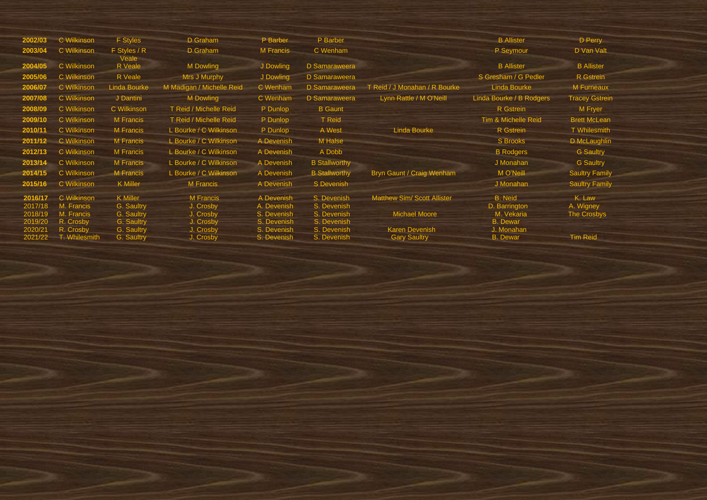| 2002/03 | C Wilkinson   | <b>F</b> Styles       | D Graham                  | P Barber    | P Barber             |                                    | <b>B</b> Allister        | D Perry               |
|---------|---------------|-----------------------|---------------------------|-------------|----------------------|------------------------------------|--------------------------|-----------------------|
| 2003/04 | C Wilkinson   | F Styles / R<br>Veale | D Graham                  | M Francis   | C Wenham             |                                    | P Seymour                | D Van Valt            |
| 2004/05 | C Wilkinson   | R Veale               | M Dowling                 | J Dowling   | D Samaraweera        |                                    | <b>B</b> Allister        | <b>B</b> Allister     |
| 2005/06 | C Wilkinson   | R Veale               | Mrs J Murphy              | J Dowling   | D Samaraweera        |                                    | S Gresham / G Pedler     | R Gstrein             |
| 2006/07 | C Wilkinson   | <b>Linda Bourke</b>   | M Madigan / Michelle Reid | C Wenham    | D Samaraweera        | T Reid / J Monahan / R Bourke      | <b>Linda Bourke</b>      | M Furneaux            |
| 2007/08 | C Wilkinson   | J Dantini             | <b>M</b> Dowling          | C Wenham    | D Samaraweera        | Lynn Rattle / M O'Neill            | Linda Bourke / B Rodgers | <b>Tracey Gstrein</b> |
| 2008/09 | C Wilkinson   | C Wilkinson           | T Reid / Michelle Reid    | P Dunlop    | <b>B</b> Gaunt       |                                    | R Gstrein                | M Fryer               |
| 2009/10 | C Wilkinson   | <b>M</b> Francis      | T Reid / Michelle Reid    | P Dunlop    | <b>T</b> Reid        |                                    | Tim & Michelle Reid      | <b>Brett McLean</b>   |
| 2010/11 | C Wilkinson   | <b>M</b> Francis      | L Bourke / C Wilkinson    | P Dunlop    | A West               | Linda Bourke                       | R Gstrein                | <b>T</b> Whilesmith   |
| 2011/12 | C Wilkinson   | <b>M</b> Francis      | L Bourke / C Wilkinson    | A Devenish  | M Halse              |                                    | <b>S</b> Brooks          | D McLaughlin          |
| 2012/13 | C Wilkinson   | <b>M</b> Francis      | L Bourke / C Wilkinson    | A Devenish  | A Dobb               |                                    | <b>B</b> Rodgers         | <b>G</b> Saultry      |
| 2013/14 | C Wilkinson   | <b>M</b> Francis      | L Bourke / C Wilkinson    | A Devenish  | <b>B Stallworthy</b> |                                    | J Monahan                | <b>G</b> Saultry      |
| 2014/15 | C Wilkinson   | <b>M</b> Francis      | L Bourke / C Wilkinson    | A Devenish  | <b>B Stallworthy</b> | Bryn Gaunt / Craig Wenham          | M O'Neill                | <b>Saultry Family</b> |
| 2015/16 | C Wilkinson   | <b>K</b> Miller       | M Francis                 | A Devenish  | S Devenish           |                                    | J Monahan                | <b>Saultry Family</b> |
| 2016/17 | C Wilkinson   | <b>K</b> Miller       | <b>M</b> Francis          | A Devenish  | S. Devenish          | <b>Matthew Sim/ Scott Allister</b> | <b>B.</b> Neid           | K. Law                |
| 2017/18 | M. Francis    | G. Saultry            | J. Crosby                 | A. Devenish | S. Devenish          |                                    | D. Barrington            | A. Wigney             |
| 2018/19 | M. Francis    | G. Saultry            | J. Crosby                 | S. Devenish | S. Devenish          | <b>Michael Moore</b>               | M. Vekaria               | The Crosbys           |
| 2019/20 | R. Crosby     | G. Saultry            | J. Crosby                 | S. Devenish | S. Devenish          |                                    | <b>B.</b> Dewar          |                       |
| 2020/21 | R. Crosby     | G. Saultry            | J. Crosby                 | S. Devenish | S. Devenish          | <b>Karen Devenish</b>              | J. Monahan               |                       |
| 2021/22 | T. Whilesmith | G. Saultry            | J. Crosby                 | S. Devenish | S. Devenish          | <b>Gary Saultry</b>                | <b>B.</b> Dewar          | <b>Tim Reid</b>       |